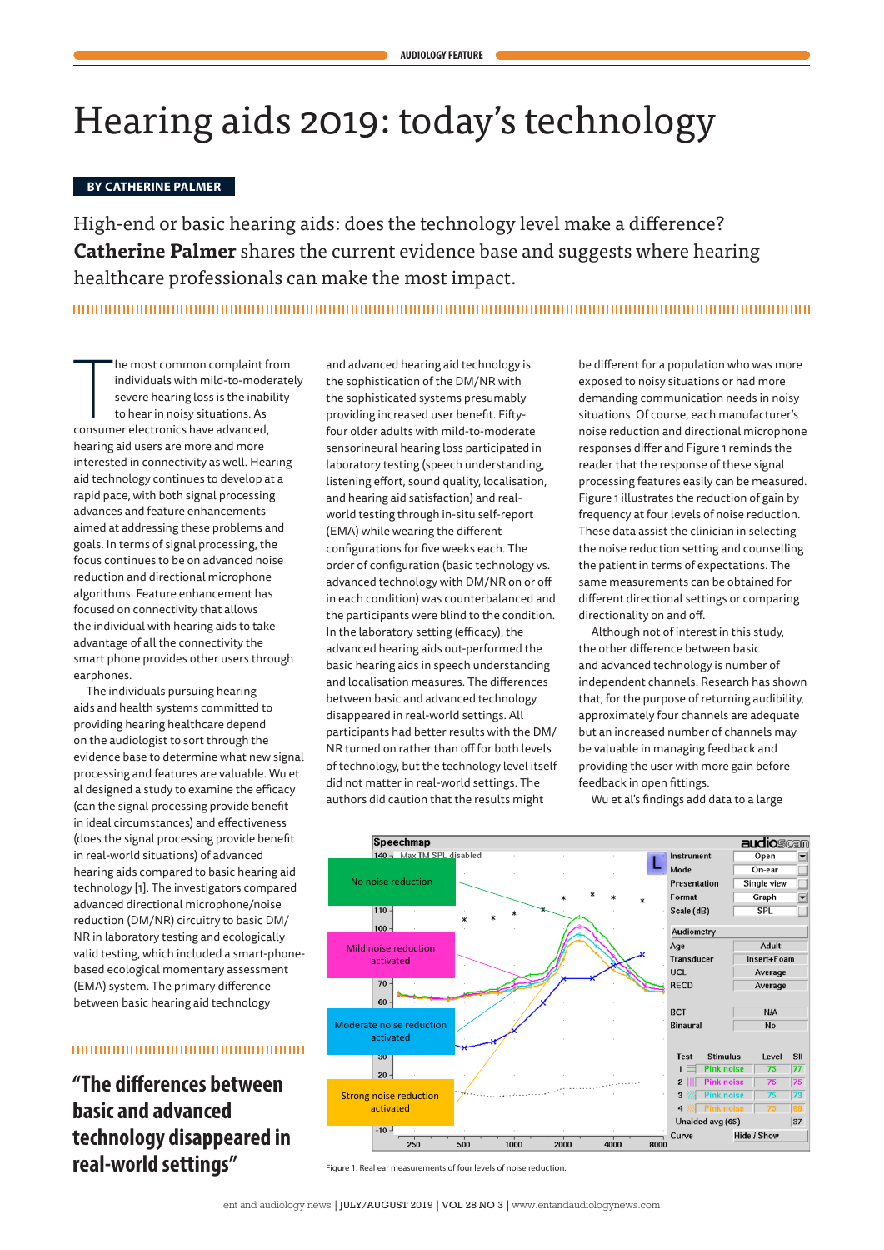# Hearing aids 2019: today's technology

#### **BY CATHERINE PALMER**

High-end or basic hearing aids: does the technology level make a difference? **Catherine Palmer** shares the current evidence base and suggests where hearing healthcare professionals can make the most impact.

he most common complaint findividuals with mild-to-mode<br>severe hearing loss is the inabi<br>to hear in noisy situations. As<br>consumer electronics have advanced, he most common complaint from individuals with mild-to-moderately severe hearing loss is the inability to hear in noisy situations. As hearing aid users are more and more interested in connectivity as well. Hearing aid technology continues to develop at a rapid pace, with both signal processing advances and feature enhancements aimed at addressing these problems and goals. In terms of signal processing, the focus continues to be on advanced noise reduction and directional microphone algorithms. Feature enhancement has focused on connectivity that allows the individual with hearing aids to take advantage of all the connectivity the smart phone provides other users through earphones.

The individuals pursuing hearing aids and health systems committed to providing hearing healthcare depend on the audiologist to sort through the evidence base to determine what new signal processing and features are valuable. Wu et al designed a study to examine the efficacy (can the signal processing provide benefit in ideal circumstances) and effectiveness (does the signal processing provide benefit in real-world situations) of advanced hearing aids compared to basic hearing aid technology [1]. The investigators compared advanced directional microphone/noise reduction (DM/NR) circuitry to basic DM/ NR in laboratory testing and ecologically valid testing, which included a smart-phonebased ecological momentary assessment (EMA) system. The primary difference between basic hearing aid technology

# 

**"The differences between basic and advanced technology disappeared in real-world settings"** Figure 1. Real ear measurements of four levels of noise reduction

and advanced hearing aid technology is the sophistication of the DM/NR with the sophisticated systems presumably providing increased user benefit. Fiftyfour older adults with mild-to-moderate sensorineural hearing loss participated in laboratory testing (speech understanding, listening effort, sound quality, localisation, and hearing aid satisfaction) and realworld testing through in-situ self-report (EMA) while wearing the different configurations for five weeks each. The order of configuration (basic technology vs. advanced technology with DM/NR on or off in each condition) was counterbalanced and the participants were blind to the condition. In the laboratory setting (efficacy), the advanced hearing aids out-performed the basic hearing aids in speech understanding and localisation measures. The differences between basic and advanced technology disappeared in real-world settings. All participants had better results with the DM/ NR turned on rather than off for both levels of technology, but the technology level itself did not matter in real-world settings. The authors did caution that the results might

be different for a population who was more exposed to noisy situations or had more demanding communication needs in noisy situations. Of course, each manufacturer's noise reduction and directional microphone responses differ and Figure 1 reminds the reader that the response of these signal processing features easily can be measured. Figure 1 illustrates the reduction of gain by frequency at four levels of noise reduction. These data assist the clinician in selecting the noise reduction setting and counselling the patient in terms of expectations. The same measurements can be obtained for different directional settings or comparing directionality on and off.

Although not of interest in this study, the other difference between basic and advanced technology is number of independent channels. Research has shown that, for the purpose of returning audibility, approximately four channels are adequate but an increased number of channels may be valuable in managing feedback and providing the user with more gain before feedback in open fittings.

Wu et al's findings add data to a large